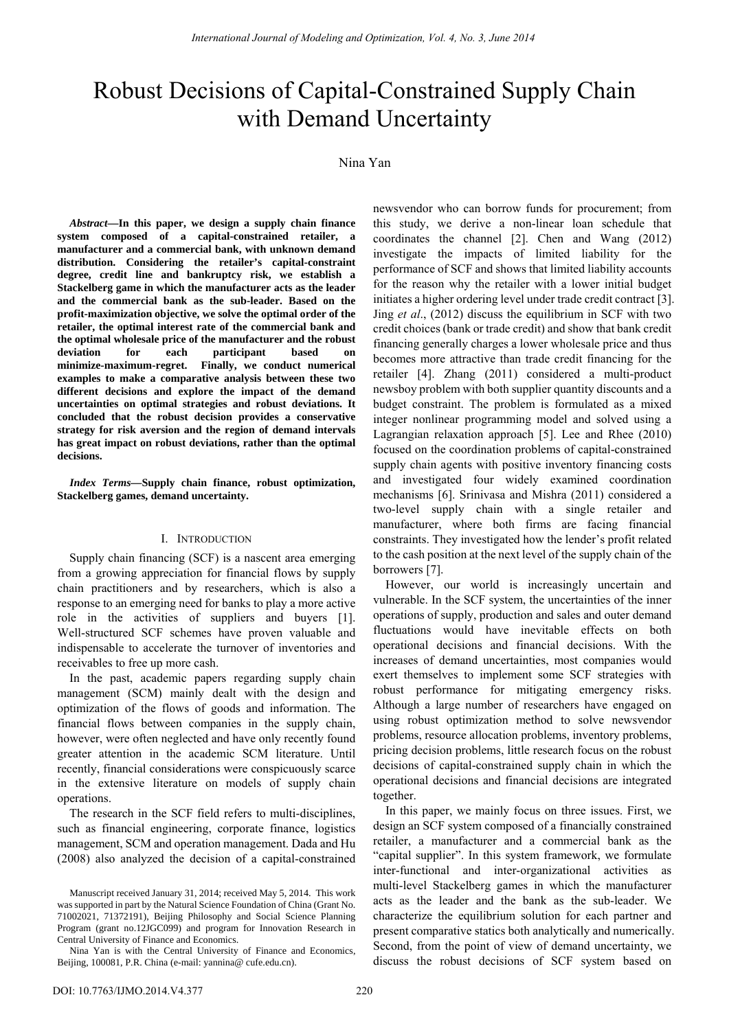# Robust Decisions of Capital-Constrained Supply Chain with Demand Uncertainty

## Nina Yan

*Abstract***—In this paper, we design a supply chain finance system composed of a capital-constrained retailer, a manufacturer and a commercial bank, with unknown demand distribution. Considering the retailer's capital-constraint degree, credit line and bankruptcy risk, we establish a Stackelberg game in which the manufacturer acts as the leader and the commercial bank as the sub-leader. Based on the profit-maximization objective, we solve the optimal order of the retailer, the optimal interest rate of the commercial bank and the optimal wholesale price of the manufacturer and the robust deviation for each participant based on**  Finally, we conduct numerical **examples to make a comparative analysis between these two different decisions and explore the impact of the demand uncertainties on optimal strategies and robust deviations. It concluded that the robust decision provides a conservative strategy for risk aversion and the region of demand intervals has great impact on robust deviations, rather than the optimal decisions.** 

*Index Terms***—Supply chain finance, robust optimization, Stackelberg games, demand uncertainty.**

#### I. INTRODUCTION

Supply chain financing (SCF) is a nascent area emerging from a growing appreciation for financial flows by supply chain practitioners and by researchers, which is also a response to an emerging need for banks to play a more active role in the activities of suppliers and buyers [1]. Well-structured SCF schemes have proven valuable and indispensable to accelerate the turnover of inventories and receivables to free up more cash.

In the past, academic papers regarding supply chain management (SCM) mainly dealt with the design and optimization of the flows of goods and information. The financial flows between companies in the supply chain, however, were often neglected and have only recently found greater attention in the academic SCM literature. Until recently, financial considerations were conspicuously scarce in the extensive literature on models of supply chain operations.

The research in the SCF field refers to multi-disciplines, such as financial engineering, corporate finance, logistics management, SCM and operation management. Dada and Hu (2008) also analyzed the decision of a capital-constrained newsvendor who can borrow funds for procurement; from this study, we derive a non-linear loan schedule that coordinates the channel [2]. Chen and Wang (2012) investigate the impacts of limited liability for the performance of SCF and shows that limited liability accounts for the reason why the retailer with a lower initial budget initiates a higher ordering level under trade credit contract [3]. Jing *et al*., (2012) discuss the equilibrium in SCF with two credit choices (bank or trade credit) and show that bank credit financing generally charges a lower wholesale price and thus becomes more attractive than trade credit financing for the retailer [4]. Zhang (2011) considered a multi-product newsboy problem with both supplier quantity discounts and a budget constraint. The problem is formulated as a mixed integer nonlinear programming model and solved using a Lagrangian relaxation approach [5]. Lee and Rhee (2010) focused on the coordination problems of capital-constrained supply chain agents with positive inventory financing costs and investigated four widely examined coordination mechanisms [6]. Srinivasa and Mishra (2011) considered a two-level supply chain with a single retailer and manufacturer, where both firms are facing financial constraints. They investigated how the lender's profit related to the cash position at the next level of the supply chain of the borrowers [7].

However, our world is increasingly uncertain and vulnerable. In the SCF system, the uncertainties of the inner operations of supply, production and sales and outer demand fluctuations would have inevitable effects on both operational decisions and financial decisions. With the increases of demand uncertainties, most companies would exert themselves to implement some SCF strategies with robust performance for mitigating emergency risks. Although a large number of researchers have engaged on using robust optimization method to solve newsvendor problems, resource allocation problems, inventory problems, pricing decision problems, little research focus on the robust decisions of capital-constrained supply chain in which the operational decisions and financial decisions are integrated together.

In this paper, we mainly focus on three issues. First, we design an SCF system composed of a financially constrained retailer, a manufacturer and a commercial bank as the "capital supplier". In this system framework, we formulate inter-functional and inter-organizational activities as multi-level Stackelberg games in which the manufacturer acts as the leader and the bank as the sub-leader. We characterize the equilibrium solution for each partner and present comparative statics both analytically and numerically. Second, from the point of view of demand uncertainty, we discuss the robust decisions of SCF system based on

Manuscript received January 31, 2014; received May 5, 2014. This work was supported in part by the Natural Science Foundation of China (Grant No. 71002021, 71372191), Beijing Philosophy and Social Science Planning Program (grant no.12JGC099) and program for Innovation Research in Central University of Finance and Economics.

Nina Yan is with the Central University of Finance and Economics, Beijing, 100081, P.R. China (e-mail: yannina@ cufe.edu.cn).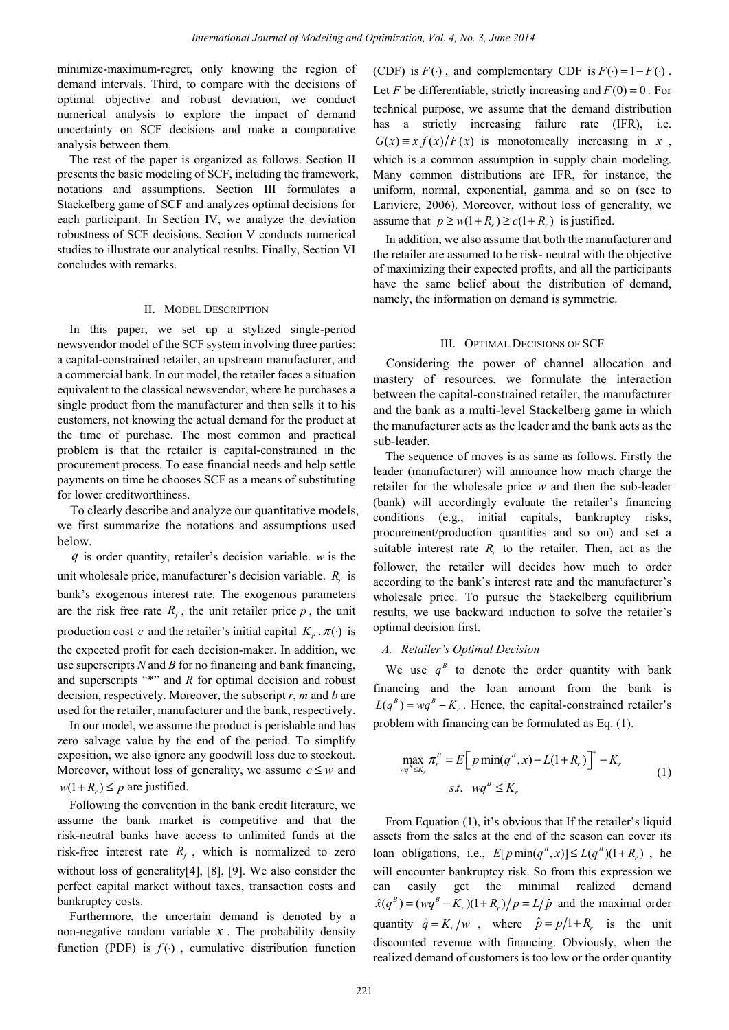minimize-maximum-regret, only knowing the region of demand intervals. Third, to compare with the decisions of optimal objective and robust deviation, we conduct numerical analysis to explore the impact of demand uncertainty on SCF decisions and make a comparative analysis between them.

The rest of the paper is organized as follows. Section II presents the basic modeling of SCF, including the framework, notations and assumptions. Section III formulates a Stackelberg game of SCF and analyzes optimal decisions for each participant. In Section IV, we analyze the deviation robustness of SCF decisions. Section V conducts numerical studies to illustrate our analytical results. Finally, Section VI concludes with remarks.

#### II. MODEL DESCRIPTION

In this paper, we set up a stylized single-period newsvendor model of the SCF system involving three parties: a capital-constrained retailer, an upstream manufacturer, and a commercial bank. In our model, the retailer faces a situation equivalent to the classical newsvendor, where he purchases a single product from the manufacturer and then sells it to his customers, not knowing the actual demand for the product at the time of purchase. The most common and practical problem is that the retailer is capital-constrained in the procurement process. To ease financial needs and help settle payments on time he chooses SCF as a means of substituting for lower creditworthiness.

To clearly describe and analyze our quantitative models, we first summarize the notations and assumptions used below.

*q* is order quantity, retailer's decision variable. *w* is the unit wholesale price, manufacturer's decision variable.  $R_r$  is bank's exogenous interest rate. The exogenous parameters are the risk free rate  $R_f$ , the unit retailer price  $p$ , the unit production cost *c* and the retailer's initial capital  $K_r \cdot \pi(\cdot)$  is the expected profit for each decision-maker. In addition, we use superscripts *N* and *B* for no financing and bank financing, and superscripts "\*" and *R* for optimal decision and robust decision, respectively. Moreover, the subscript *r*, *m* and *b* are used for the retailer, manufacturer and the bank, respectively.

In our model, we assume the product is perishable and has zero salvage value by the end of the period. To simplify exposition, we also ignore any goodwill loss due to stockout. Moreover, without loss of generality, we assume  $c \leq w$  and  $w(1 + R_n) \leq p$  are justified.

Following the convention in the bank credit literature, we assume the bank market is competitive and that the risk-neutral banks have access to unlimited funds at the risk-free interest rate  $R_f$ , which is normalized to zero without loss of generality[4], [8], [9]. We also consider the perfect capital market without taxes, transaction costs and bankruptcy costs.

Furthermore, the uncertain demand is denoted by a non-negative random variable  $x$ . The probability density function (PDF) is  $f()$ , cumulative distribution function (CDF) is  $F(\cdot)$ , and complementary CDF is  $\overline{F}(\cdot) = 1 - F(\cdot)$ . Let *F* be differentiable, strictly increasing and  $F(0) = 0$ . For technical purpose, we assume that the demand distribution has a strictly increasing failure rate (IFR), i.e.  $G(x) \equiv x f(x)/\overline{F}(x)$  is monotonically increasing in *x*, which is a common assumption in supply chain modeling. Many common distributions are IFR, for instance, the uniform, normal, exponential, gamma and so on (see to Lariviere, 2006). Moreover, without loss of generality, we assume that  $p \geq w(1 + R) \geq c(1 + R)$  is justified.

In addition, we also assume that both the manufacturer and the retailer are assumed to be risk- neutral with the objective of maximizing their expected profits, and all the participants have the same belief about the distribution of demand, namely, the information on demand is symmetric.

#### III. OPTIMAL DECISIONS OF SCF

Considering the power of channel allocation and mastery of resources, we formulate the interaction between the capital-constrained retailer, the manufacturer and the bank as a multi-level Stackelberg game in which the manufacturer acts as the leader and the bank acts as the sub-leader.

The sequence of moves is as same as follows. Firstly the leader (manufacturer) will announce how much charge the retailer for the wholesale price *w* and then the sub-leader (bank) will accordingly evaluate the retailer's financing conditions (e.g., initial capitals, bankruptcy risks, procurement/production quantities and so on) and set a suitable interest rate  $R_r$  to the retailer. Then, act as the follower, the retailer will decides how much to order according to the bank's interest rate and the manufacturer's wholesale price. To pursue the Stackelberg equilibrium results, we use backward induction to solve the retailer's optimal decision first.

## *A. Retailer's Optimal Decision*

We use  $q^B$  to denote the order quantity with bank financing and the loan amount from the bank is  $L(q^B) = wq^B - K$ . Hence, the capital-constrained retailer's problem with financing can be formulated as Eq. (1).

$$
\max_{wq^{B} \leq K_{r}} \pi_{r}^{B} = E\Big[p \min(q^{B}, x) - L(1 + R_{r})\Big]^{+} - K_{r}
$$
\n
$$
s.t. \quad wq^{B} \leq K_{r}
$$
\n
$$
(1)
$$

From Equation (1), it's obvious that If the retailer's liquid assets from the sales at the end of the season can cover its loan obligations, i.e.,  $E[p \min(q^B, x)] \le L(q^B)(1 + R_r)$ , he will encounter bankruptcy risk. So from this expression we can easily get the minimal realized demand  $\hat{x}(q^B) = (wq^B - K_r)(1 + R_r)/p = L/\hat{p}$  and the maximal order quantity  $\hat{q} = K_r/w$ , where  $\hat{p} = p/1 + R_r$  is the unit discounted revenue with financing. Obviously, when the realized demand of customers is too low or the order quantity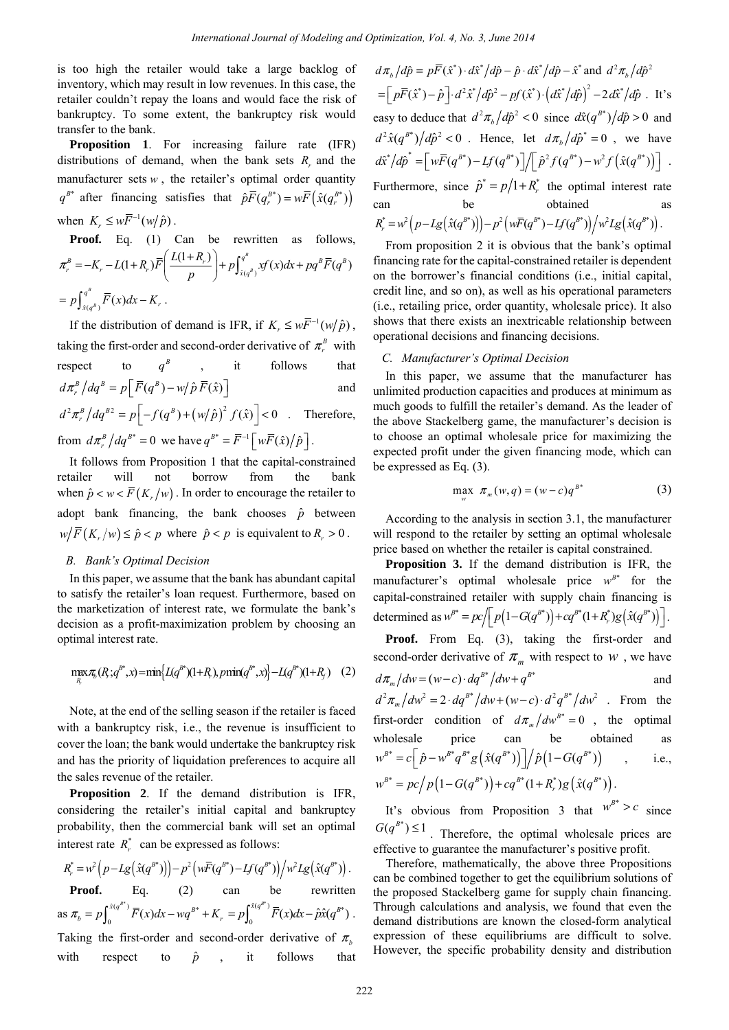is too high the retailer would take a large backlog of inventory, which may result in low revenues. In this case, the retailer couldn't repay the loans and would face the risk of bankruptcy. To some extent, the bankruptcy risk would transfer to the bank.

**Proposition 1**. For increasing failure rate (IFR) distributions of demand, when the bank sets  $R_r$  and the manufacturer sets  $w$ , the retailer's optimal order quantity  $q^{B^*}$  after financing satisfies that  $\hat{p} \overline{F}(q_r^{B^*}) = w \overline{F}(\hat{x}(q_r^{B^*}))$ when  $K_r \leq w \overline{F}^{-1}(w/\hat{p})$ .

**Proof***.* Eq. (1) Can be rewritten as follows,  $(1+R_r)\overline{F}\left(\frac{L(1+R_r)}{R}\right)+p\int_{\hat{x}(q^B)}^{q^B}xf(x)dx+pq^B\overline{F}(q^B)$  $\int_{r}^{B} = -K_r - L(1+R_r)\overline{F} \left( \frac{L(1+R_r)}{R} \right) + p \int_{\phi \in \mathcal{B}}^{q^{\theta}} xf(x) dx + pq^{\theta} \overline{F}(q^{\theta})$  $\pi_r^B = -K_r - L(1+R_r)\overline{F}\left(\frac{L(1+R_r)}{p}\right) + p\int_{\hat{x}(q^B)}^{q^B} xf(x)dx + pq^B\overline{F}(q)$  $\frac{q^B}{\hat{x}(q^B)}\overline{F}(x)$ *B*  $=p \int_{\hat{x}(q^B)}^{q^B} \overline{F}(x) dx - K_r$ .

If the distribution of demand is IFR, if  $K_r \leq w \overline{F}^{-1}(w/\hat{p})$ , taking the first-order and second-order derivative of  $\pi^B$  with respect to  $a^B$  , it follows that  $d\pi^B_{r}/dq^B = p\left[\overline{F}(q^B) - w/\hat{p}\,\overline{F}(\hat{x})\right]$  and  $d^2 \pi_r^B / dq^{B2} = p \left[ -f(q^B) + (w/p)^2 f(\hat{x}) \right] < 0$  . Therefore,

from  $d\pi_r^B / dq^{B^*} = 0$  we have  $q^{B^*} = \overline{F}^{-1} \left[ w \overline{F}(\hat{x}) / \hat{p} \right]$ .

It follows from Proposition 1 that the capital-constrained retailer will not borrow from the bank when  $\hat{p} < w < \overline{F}(K_x/w)$ . In order to encourage the retailer to adopt bank financing, the bank chooses  $\hat{p}$  between  $w/F(K_r/w) \le \hat{p} < p$  where  $\hat{p} < p$  is equivalent to  $R_r > 0$ .

## *B. Bank's Optimal Decision*

In this paper, we assume that the bank has abundant capital to satisfy the retailer's loan request. Furthermore, based on the marketization of interest rate, we formulate the bank's decision as a profit-maximization problem by choosing an optimal interest rate.

$$
\max_{R} \pi_{b}(R; q^{B^{*}}, x) = \min \{ L(q^{B^{*}})(1+R), p\min(q^{B^{*}}, x) \} - L(q^{B^{*}})(1+R_{f}) \quad (2)
$$

Note, at the end of the selling season if the retailer is faced with a bankruptcy risk, i.e., the revenue is insufficient to cover the loan; the bank would undertake the bankruptcy risk and has the priority of liquidation preferences to acquire all the sales revenue of the retailer.

**Proposition 2**. If the demand distribution is IFR, considering the retailer's initial capital and bankruptcy probability, then the commercial bank will set an optimal interest rate  $R_r^*$  can be expressed as follows:

$$
R_r^* = w^2 (p - Lg(\hat{x}(q^{B^*})) ) - p^2 (w\overline{F}(q^{B^*}) - Lf(q^{B^*})) / w^2 Lg(\hat{x}(q^{B^*})) .
$$
  
**Proof.** Eq. (2) can be rewritten  
as  $\pi_b = p \int_0^{\hat{x}(q^{B^*})} \overline{F}(x) dx - wq^{B^*} + K_r = p \int_0^{\hat{x}(q^{B^*})} \overline{F}(x) dx - \hat{p}\hat{x}(q^{B^*}) .$   
Taking the first-order and second-order derivative of  $\pi$ .

Taking the first-order and second-order derivative of  $\pi$ <sub>*b*</sub> with respect to  $\hat{p}$ , it follows that

 $d\pi_h/d\hat{p} = p\overline{F}(\hat{x}^*) \cdot d\hat{x}^*/d\hat{p} - \hat{p} \cdot d\hat{x}^*/d\hat{p} - \hat{x}^*$  and  $d^2\pi_h/d\hat{p}^2$  $= \left[ p\bar{F}(\hat{x}^*) - \hat{p} \right] \cdot d^2 \hat{x}^* / d\hat{p}^2 - pf(\hat{x}^*) \cdot (d\hat{x}^* / d\hat{p})^2 - 2 d\hat{x}^* / d\hat{p}$ . It's easy to deduce that  $d^2 \pi h / d\hat{p}^2 < 0$  since  $d\hat{x}(q^{B*})/d\hat{p} > 0$  and  $d^2\hat{x}(q^{B*})/d\hat{p}^2 < 0$ . Hence, let  $d\pi_h/d\hat{p}^* = 0$ , we have  $d\hat{x}^*/d\hat{p}^* = \left[ w\bar{F}(q^{B^*}) - Lf(q^{B^*}) \right] / \left[ \hat{p}^2 f(q^{B^*}) - w^2 f(\hat{x}(q^{B^*})) \right]$ . Furthermore, since  $\hat{p}^* = p/1 + R_r^*$  the optimal interest rate can be obtained as  $R_{r}^{*} = w^{2} (p - Lg(\hat{x}(q^{B^{*}})) - p^{2} (w\overline{F}(q^{B^{*}}) - Lf(q^{B^{*}})) / w^{2}Lg(\hat{x}(q^{B^{*}}))$ .

From proposition 2 it is obvious that the bank's optimal financing rate for the capital-constrained retailer is dependent on the borrower's financial conditions (i.e., initial capital, credit line, and so on), as well as his operational parameters (i.e., retailing price, order quantity, wholesale price). It also shows that there exists an inextricable relationship between operational decisions and financing decisions.

#### *C. Manufacturer's Optimal Decision*

In this paper, we assume that the manufacturer has unlimited production capacities and produces at minimum as much goods to fulfill the retailer's demand. As the leader of the above Stackelberg game, the manufacturer's decision is to choose an optimal wholesale price for maximizing the expected profit under the given financing mode, which can be expressed as Eq. (3).

$$
\max_{w} \pi_m(w,q) = (w-c)q^{B^*} \tag{3}
$$

According to the analysis in section 3.1, the manufacturer will respond to the retailer by setting an optimal wholesale price based on whether the retailer is capital constrained.

**Proposition 3.** If the demand distribution is IFR, the manufacturer's optimal wholesale price  $w^{B*}$  for the capital-constrained retailer with supply chain financing is determined as  $w^{B^*} = pc / \sqrt{p(1 - G(q^{B^*})) + cq^{B^*}(1 + R_r^*)g(\hat{x}(q^{B^*}))}.$ 

**Proof.** From Eq. (3), taking the first-order and second-order derivative of  $\pi_m$  with respect to *w*, we have  $d\pi_{m}/dw = (w-c) \cdot dq^{B^{*}}/dw + q^{B^{*}}$  and  $d^2 \pi_m / dw^2 = 2 \cdot dq^{B*} / dw + (w - c) \cdot d^2 q^{B*} / dw^2$  . From the first-order condition of  $d\pi_m/dw^{B^*} = 0$ , the optimal wholesale price can be obtained as  $(w^{B^*} = c \left[ \hat{p} - w^{B^*} q^{B^*} g(\hat{x}(q^{B^*})) \right] / \hat{p}(1 - G(q^{B^*}))$ , i.e.,  $w^{B^*} = pc/p(1 - G(q^{B^*})) + cq^{B^*}(1 + R^*)g(\hat{x}(q^{B^*}))$ .

It's obvious from Proposition 3 that  $w^{B^*} > c$  since  $G(q^{B^*}) \le 1$ [. Therefor](app:ds:guarantee)e, the optimal wholesale prices are effective to guarantee the manufacturer's positive profit.

Therefore, mathematically, the above three Propositions can be combined together to get the equilibrium solutions of the proposed Stackelberg game for supply chain financing. Through calculations and analysis, we found that even the demand distributions are known the closed-form analytical expression of these equilibriums are difficult to solve. However, the specific probability density and distribution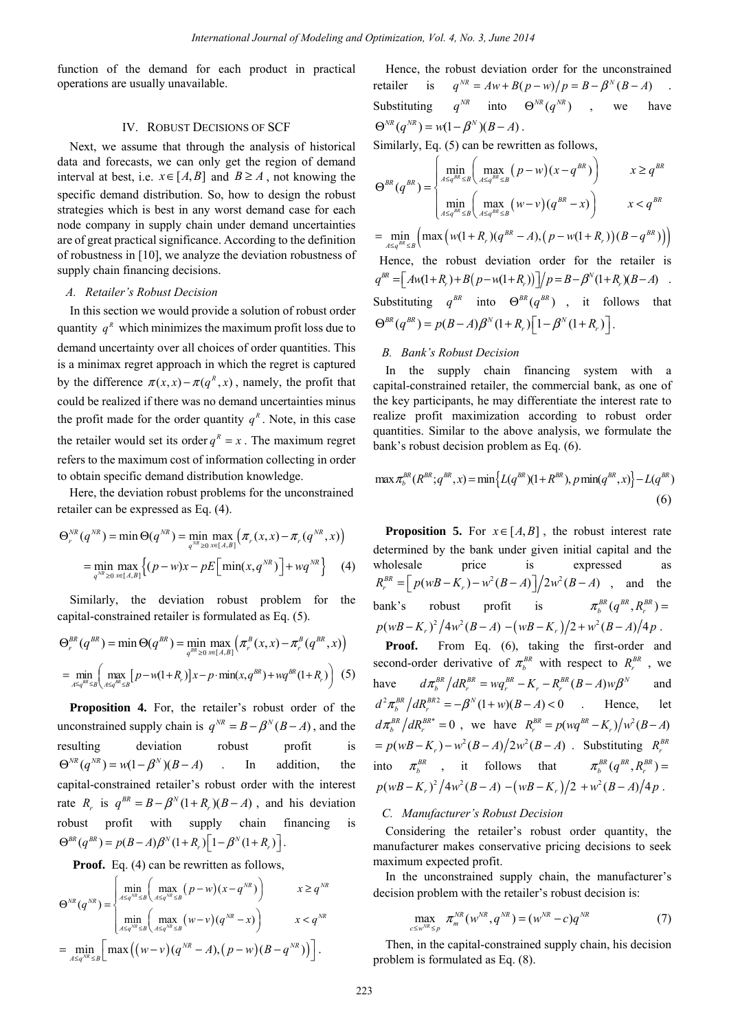function of the demand for each product in practical operations are usually unavailable.

## IV. ROBUST DECISIONS OF SCF

Next, we assume that through the analysis of historical data and forecasts, we can only get the region of demand interval at best, i.e.  $x \in [A, B]$  and  $B \ge A$ , not knowing the specific demand distribution. So, how to design the robust strategies which is best in any worst demand case for each node company in supply chain under demand uncertainties are of great practical significance. According to the definition of robustness in [10], we analyze the deviation robustness of supply chain financing decisions.

## *A. Retailer's Robust Decision*

In this section we would provide a solution of robust order quantity  $q^R$  which minimizes the maximum profit loss due to demand uncertainty over all choices of order quantities. This is a minimax regret approach in which the regret is captured by the difference  $\pi(x, x) - \pi(q^R, x)$ , namely, the profit that could be realized if there was no demand uncertainties minus the profit made for the order quantity  $q<sup>R</sup>$ . Note, in this case the retailer would set its order  $q^R = x$ . The maximum regret refers to the maximum cost of information collecting in order to obtain specific demand distribution knowledge.

Here, the deviation robust problems for the unconstrained retailer can be expressed as Eq. (4).

$$
\Theta_r^{NR}(q^{NR}) = \min \Theta(q^{NR}) = \min_{q^{NR} \ge 0} \max_{x \in [A,B]} \left( \pi_r(x, x) - \pi_r(q^{NR}, x) \right)
$$

$$
= \min_{q^{NR} \ge 0} \max_{x \in [A,B]} \left\{ (p - w)x - pE\Big[\min(x, q^{NR})\Big] + wq^{NR} \right\} \tag{4}
$$

Similarly, the deviation robust problem for the capital-constrained retailer is formulated as Eq. (5).

$$
\Theta_r^{BR}(q^{BR}) = \min \Theta(q^{BR}) = \min_{q^{BR} \ge 0} \max_{x \in [A,B]} \left( \pi_r^B(x,x) - \pi_r^B(q^{BR},x) \right)
$$
  
= 
$$
\min_{A \le q^{BR} \le B} \left( \max_{A \le q^{BR} \le B} \left[ p - w(1+R_r) \right] x - p \cdot \min(x,q^{BR}) + wq^{BR}(1+R_r) \right)
$$
 (5)

**Proposition 4.** For, the retailer's robust order of the unconstrained supply chain is  $q^{NR} = B - \beta^N (B - A)$ , and the resulting deviation robust profit is  $\Theta^{NR} (q^{NR}) = w(1 - \beta^N)(B - A)$  . In addition, the capital-constrained retailer's robust order with the interest rate  $R_r$  is  $q^{BR} = B - \beta^N (1 + R_r)(B - A)$ , and his deviation robust profit with supply chain financing is  $\Theta^{BR}(q^{BR}) = p(B-A)\beta^{N}(1+R_r)\left[1-\beta^{N}(1+R_r)\right].$ 

**Proof.** Eq. (4) can be rewritten as follows,

$$
\Theta^{NR}(q^{NR}) = \begin{cases}\n\min_{A \leq q^{NR} \leq B} \left( \max_{A \leq q^{NR} \leq B} (p - w)(x - q^{NR}) \right) & x \geq q^{NR} \\
\min_{A \leq q^{NR} \leq B} \left( \max_{A \leq q^{NR} \leq B} (w - v)(q^{NR} - x) \right) & x < q^{NR} \\
\text{min}_{A \leq q^{NR} \leq B} \left( \max \left( (w - v)(q^{NR} - A), (p - w)(B - q^{NR}) \right) \right].\n\end{cases}
$$

Hence, the robust deviation order for the unconstrained retailer is  $q^{NR} = Aw + B(p - w)/p = B - \beta^{N}(B - A)$ Substituting  $q^{NR}$  into  $\Theta^{NR}$  ( $q^{NR}$ ), we have  $\Theta^{NR} (q^{NR}) = w(1 - \beta^N)(B - A)$ .

Similarly, Eq. (5) can be rewritten as follows,

$$
\Theta^{BR}(q^{BR}) = \begin{cases}\n\min_{A \leq q^{BR} \leq B} \left( \max_{A \leq q^{BR} \leq B} (p - w)(x - q^{BR}) \right) & x \geq q^{BR} \\
\min_{A \leq q^{BR} \leq B} \left( \max_{A \leq q^{BR} \leq B} (w - v)(q^{BR} - x) \right) & x < q^{BR} \\
= \min_{A \leq q^{BR} \leq B} \left( \max \left( w(1 + R_r)(q^{BR} - A), (p - w(1 + R_r))(B - q^{BR}) \right) \right) \\
\text{Hence, the robust deviation order for the retailer is} \\
q^{BR} = \left[ A m(1 + R_r) + B(p - w(1 + R_r)) \right] / p = B - \beta^N (1 + R_r)(B - A) \\
\text{Substituting } q^{BR} \text{ into } \Theta^{BR}(q^{BR}) \text{ , it follows that} \\
\Theta^{BR}(q^{BR}) = p(B - A)\beta^N (1 + R_r) \left[ 1 - \beta^N (1 + R_r) \right].\n\end{cases}
$$

#### *B. Bank's Robust Decision*

In the supply chain financing system with a capital-constrained retailer, the commercial bank, as one of the key participants, he may differentiate the interest rate to realize profit maximization according to robust order quantities. Similar to the above analysis, we formulate the bank's robust decision problem as Eq. (6).

$$
\max \pi_b^{BR}(R^{BR}; q^{BR}, x) = \min \{ L(q^{BR})(1 + R^{BR}), p \min(q^{BR}, x) \} - L(q^{BR})
$$
\n(6)

**Proposition 5.** For  $x \in [A, B]$ , the robust interest rate determined by the bank under given initial capital and the wholesale price is expressed as  $R_r^{BR} = \left[ p(wB - K_r) - w^2(B - A) \right] / 2w^2(B - A)$ , and the bank's robust profit is  $\pi_b^{BR}(q^{BR}, R_r^{BR})$  =  $p(wB-K_{n})^{2}/4w^{2}(B-A)-(wB-K_{n})/2+w^{2}(B-A)/4p$ .

Proof. From Eq. (6), taking the first-order and second-order derivative of  $\pi_h^{BR}$  with respect to  $R_{r}^{BR}$ , we have  $d\pi_b^{BR}/dR_r^{BR} = wq_r^{BR} - K_r - R_r^{BR}(B-A)w\beta^N$  and  $d^2 \pi_b^{BR} / dR_r^{BR2} = -\beta^N (1+w)(B-A) < 0$  . Hence, let  $d\pi_b^{BR}/dR_r^{BR*} = 0$ , we have  $R_r^{BR} = p(wq^{BR} - K_r)/w^2(B-A)$  $= p(wB - K_n) - w^2(B - A)/2w^2(B - A)$ . Substituting  $R^{BR}$ into  $\pi_{h}^{BR}$ , it follows that  $\pi_{b}^{BR}(q^{BR}, R_{a}^{BR}) =$  $p(wB-K_r)^2/4w^2(B-A)-(wB-K_r)/2+w^2(B-A)/4p$ .

## *C. Manufacturer's Robust Decision*

Considering the retailer's robust order quantity, the manufacturer makes conservative pricing decisions to seek maximum expected profit.

In the unconstrained supply chain, the manufacturer's decision problem with the retailer's robust decision is:

$$
\max_{c \le w^{NR} \le p} \pi_m^{NR}(w^{NR}, q^{NR}) = (w^{NR} - c)q^{NR} \tag{7}
$$

Then, in the capital-constrained supply chain, his decision problem is formulated as Eq. (8).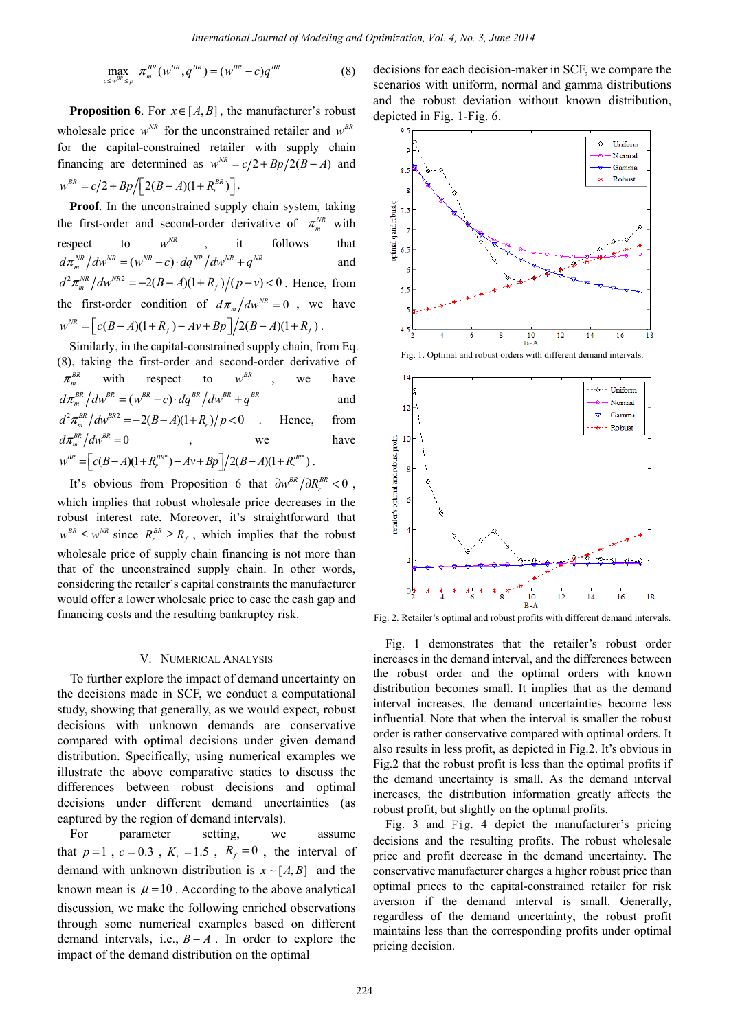$$
\max_{c \le w^{BR} \le p} \pi_m^{BR}(w^{BR}, q^{BR}) = (w^{BR} - c) q^{BR} \tag{8}
$$

**Proposition 6**. For  $x \in [A, B]$ , the manufacturer's robust wholesale price  $w^{NR}$  for the unconstrained retailer and  $w^{BR}$ for the capital-constrained retailer with supply chain financing are determined as  $w^{NR} = c/2 + Bp/2(B - A)$  and  $w^{BR} = c/2 + Bp / \sqrt{2(B - A)(1 + R_r^{BR})}$ .

**Proof**. In the unconstrained supply chain system, taking the first-order and second-order derivative of  $\pi_m^{NR}$  with respect to  $w^{NR}$  , it follows that  $d\pi_m^{NR}/dw^{NR} = (w^{NR} - c) \cdot dq^{NR}/dw^{NR} + q^{NR}$  and  $d^2 \pi_m^{NR} / d w^{NR} = -2(B-A)(1+R_f)/(p-v) < 0$ . Hence, from the first-order condition of  $d\pi_m/dw^{NR} = 0$ , we have  $w^{NR} = \left[ c(B - A)(1 + R_f) - Av + Bp \right] / 2(B - A)(1 + R_f)$ .

Similarly, in the capital-constrained supply chain, from Eq. (8), taking the first-order and second-order derivative of  $\pi_m^{BR}$  with respect to  $w^{BR}$ , we have  $d\pi_m^{BR}/dw^{BR} = (w^{BR}-c) \cdot dq^{BR}/dw^{BR} + q^{BR}$  and  $d^2 \pi_m^{BR}/dw^{BR2} = -2(B-A)(1+R_r)/p < 0$  . Hence, from  $d\pi_m^{BR}/dw^{BR} = 0$ , we have  $w^{BR} = \left[ c(B-A)(1+R_r^{BR^*}) - Av + Bp \right] / 2(B-A)(1+R_r^{BR^*})$ .

It's obvious from Proposition 6 that  $\frac{\partial w^{BR}}{\partial R_r^{BR}}$  < 0. which implies that robust wholesale price decreases in the robust interest rate. Moreover, it's straightforward that  $w^{BR} \leq w^{NR}$  since  $R_r^{BR} \geq R_f$ , which implies that the robust wholesale price of supply chain financing is not more than that of the unconstrained supply chain. In other words, considering the retailer's capital constraints the manufacturer would offer a lower wholesale price to ease the cash gap and financing costs and the resulting bankruptcy risk.

#### V. NUMERICAL ANALYSIS

To further explore the impact of demand uncertainty on the decisions made in SCF, we conduct a computational study, showing that generally, as we would expect, robust decisions with unknown demands are conservative compared with optimal decisions under given demand distribution. Specifically, using numerical examples we illustrate the above comparative statics to discuss the differences between robust decisions and optimal decisions under different demand uncertainties (as captured by the region of demand intervals).

For parameter setting, we assume that  $p=1$ ,  $c=0.3$ ,  $K_r = 1.5$ ,  $R_f = 0$ , the interval of demand with unknown distribution is  $x \sim [A, B]$  and the known mean is  $\mu = 10$ . According to the above analytical discussion, we make the following enriched observations through some numerical examples based on different demand intervals, i.e.,  $B - A$ . In order to explore the impact of the demand distribution on the optimal

decisions for each decision-maker in SCF, we compare the scenarios with uniform, normal and gamma distributions and the robust deviation without known distribution, depicted in Fig. 1-Fig. 6.



Fig. 1. Optimal and robust orders with different demand intervals.



Fig. 2. Retailer's optimal and robust profits with different demand intervals.

Fig. 1 demonstrates that the retailer's robust order increases in the demand interval, and the differences between the robust order and the optimal orders with known distribution becomes small. It implies that as the demand interval increases, the demand uncertainties become less influential. Note that when the interval is smaller the robust order is rather conservative compared with optimal orders. It also results in less profit, as depicted in Fig.2. It's obvious in Fig.2 that the robust profit is less than the optimal profits if the demand uncertainty is small. As the demand interval increases, the distribution information greatly affects the robust profit, but slightly on the optimal profits.

Fig. 3 and Fig. 4 depict the manufacturer's pricing decisions and the resulting profits. The robust wholesale price and profit decrease in the demand uncertainty. The conservative manufacturer charges a higher robust price than optimal prices to the capital-constrained retailer for risk aversion if the demand interval is small. Generally, regardless of the demand uncertainty, the robust profit maintains less than the corresponding profits under optimal pricing decision.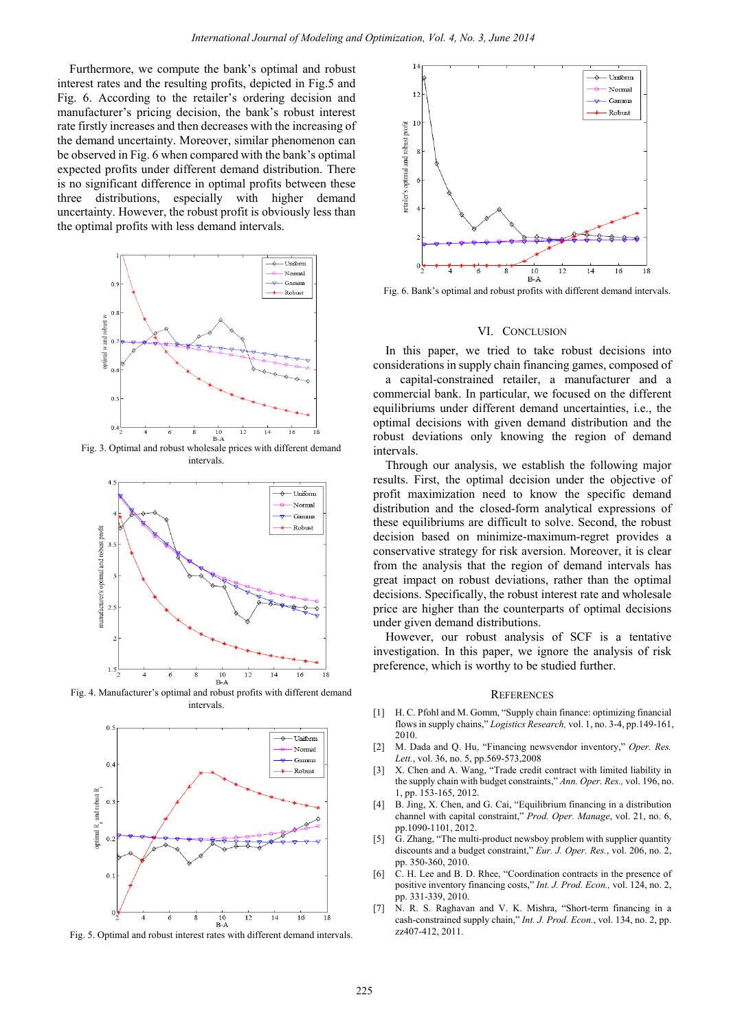Furthermore, we compute the bank's optimal and robust interest rates and the resulting profits, depicted in Fig.5 and Fig. 6. According to the retailer's ordering decision and manufacturer's pricing decision, the bank's robust interest rate firstly increases and then decreases with the increasing of the demand uncertainty. Moreover, similar phenomenon can be observed in Fig. 6 when compared with the bank's optimal expected profits under different demand distribution. There is no significant difference in optimal profits between these three distributions, especially with higher demand uncertainty. However, the robust profit is obviously less than the optimal profits with less demand intervals.



intervals.



Fig. 4. Manufacturer's optimal and robust profits with different demand intervals.



Fig. 5. Optimal and robust interest rates with different demand intervals.



Fig. 6. Bank's optimal and robust profits with different demand intervals.

#### VI. CONCLUSION

In this paper, we tried to take robust decisions into considerations in supply chain financing games, composed of

a capital-constrained retailer, a manufacturer and a commercial bank. In particular, we focused on the different equilibriums under different demand uncertainties, i.e., the optimal decisions with given demand distribution and the robust deviations only knowing the region of demand intervals.

Through our analysis, we establish the following major results. First, the optimal decision under the objective of profit maximization need to know the specific demand distribution and the closed-form analytical expressions of these equilibriums are difficult to solve. Second, the robust decision based on minimize-maximum-regret provides a conservative strategy for risk aversion. Moreover, it is clear from the analysis that the region of demand intervals has great impact on robust deviations, rather than the optimal decisions. Specifically, the robust interest rate and wholesale price are higher than the counterparts of optimal decisions under given demand distributions.

However, our robust analysis of SCF is a tentative investigation. In this paper, we ignore the analysis of risk preference, which is worthy to be studied further.

#### **REFERENCES**

- [1] H. C. Pfohl and M. Gomm, "Supply chain finance: optimizing financial flows in supply chains," *Logistics Research,* vol. 1, no. 3-4, pp.149-161, 2010.
- [2] M. Dada and Q. Hu, "Financing newsvendor inventory," *Oper. Res. Lett.*, vol. 36, no. 5, pp.569-573,2008
- [3] X. Chen and A. Wang, "Trade credit contract with limited liability in the supply chain with budget constraints," *Ann. Oper. Res.,* vol. 196, no. 1, pp. 153-165, 2012.
- [4] B. Jing, X. Chen, and G. Cai, "Equilibrium financing in a distribution channel with capital constraint," *Prod. Oper. Manage*, vol. 21, no. 6, pp.1090-1101, 2012.
- [5] G. Zhang, "The multi-product newsboy problem with supplier quantity discounts and a budget constraint," *Eur. J. Oper. Res.*, vol. 206, no. 2, pp. 350-360, 2010.
- [6] C. H. Lee and B. D. Rhee, "Coordination contracts in the presence of positive inventory financing costs," *Int. J. Prod. Econ.,* vol. 124, no. 2, pp. 331-339, 2010.
- [7] N. R. S. Raghavan and V. K. Mishra, "Short-term financing in a cash-constrained supply chain," *Int. J. Prod. Econ.*, vol. 134, no. 2, pp. zz407-412, 2011.